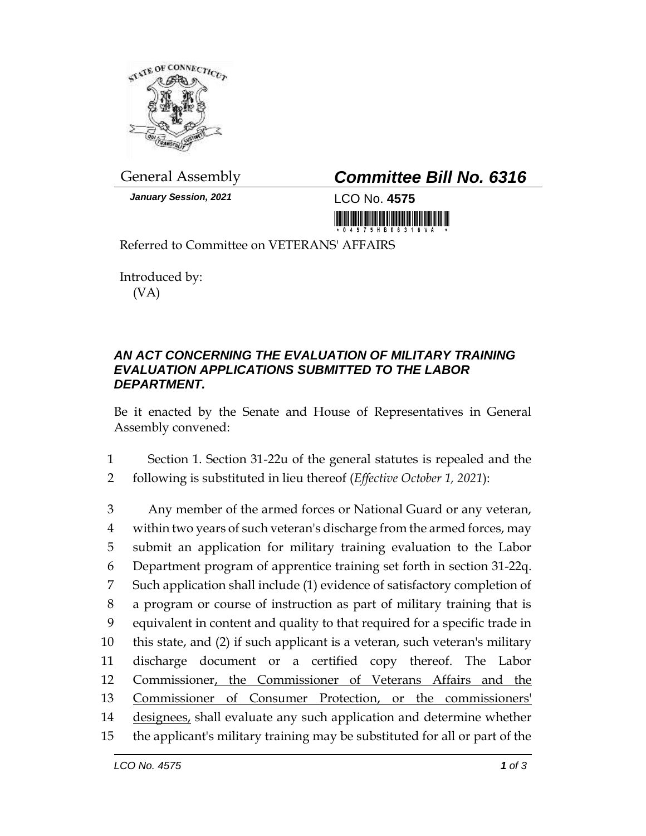

*January Session, 2021* LCO No. **4575**

## General Assembly *Committee Bill No. 6316*

<u> Tanzania (h. 1888).</u>

Referred to Committee on VETERANS' AFFAIRS

Introduced by: (VA)

## *AN ACT CONCERNING THE EVALUATION OF MILITARY TRAINING EVALUATION APPLICATIONS SUBMITTED TO THE LABOR DEPARTMENT.*

Be it enacted by the Senate and House of Representatives in General Assembly convened:

1 Section 1. Section 31-22u of the general statutes is repealed and the

2 following is substituted in lieu thereof (*Effective October 1, 2021*):

 Any member of the armed forces or National Guard or any veteran, within two years of such veteran's discharge from the armed forces, may submit an application for military training evaluation to the Labor Department program of apprentice training set forth in section 31-22q. Such application shall include (1) evidence of satisfactory completion of a program or course of instruction as part of military training that is equivalent in content and quality to that required for a specific trade in this state, and (2) if such applicant is a veteran, such veteran's military discharge document or a certified copy thereof. The Labor Commissioner, the Commissioner of Veterans Affairs and the Commissioner of Consumer Protection, or the commissioners' designees, shall evaluate any such application and determine whether the applicant's military training may be substituted for all or part of the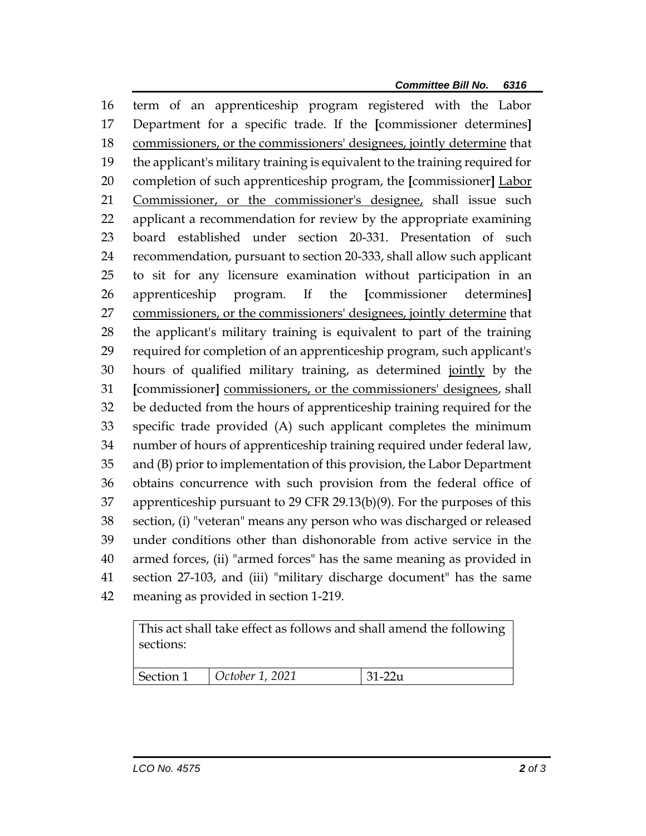term of an apprenticeship program registered with the Labor Department for a specific trade. If the **[**commissioner determines**]** commissioners, or the commissioners' designees, jointly determine that the applicant's military training is equivalent to the training required for completion of such apprenticeship program, the **[**commissioner**]** Labor Commissioner, or the commissioner's designee, shall issue such applicant a recommendation for review by the appropriate examining board established under section 20-331. Presentation of such recommendation, pursuant to section 20-333, shall allow such applicant to sit for any licensure examination without participation in an apprenticeship program. If the **[**commissioner determines**]** commissioners, or the commissioners' designees, jointly determine that the applicant's military training is equivalent to part of the training required for completion of an apprenticeship program, such applicant's hours of qualified military training, as determined jointly by the **[**commissioner**]** commissioners, or the commissioners' designees, shall be deducted from the hours of apprenticeship training required for the specific trade provided (A) such applicant completes the minimum number of hours of apprenticeship training required under federal law, and (B) prior to implementation of this provision, the Labor Department obtains concurrence with such provision from the federal office of apprenticeship pursuant to 29 CFR 29.13(b)(9). For the purposes of this section, (i) "veteran" means any person who was discharged or released under conditions other than dishonorable from active service in the armed forces, (ii) "armed forces" has the same meaning as provided in section 27-103, and (iii) "military discharge document" has the same meaning as provided in section 1-219.

This act shall take effect as follows and shall amend the following sections:

| Section 1 | $\vert$ October 1, 2021 | $131-22u$ |
|-----------|-------------------------|-----------|